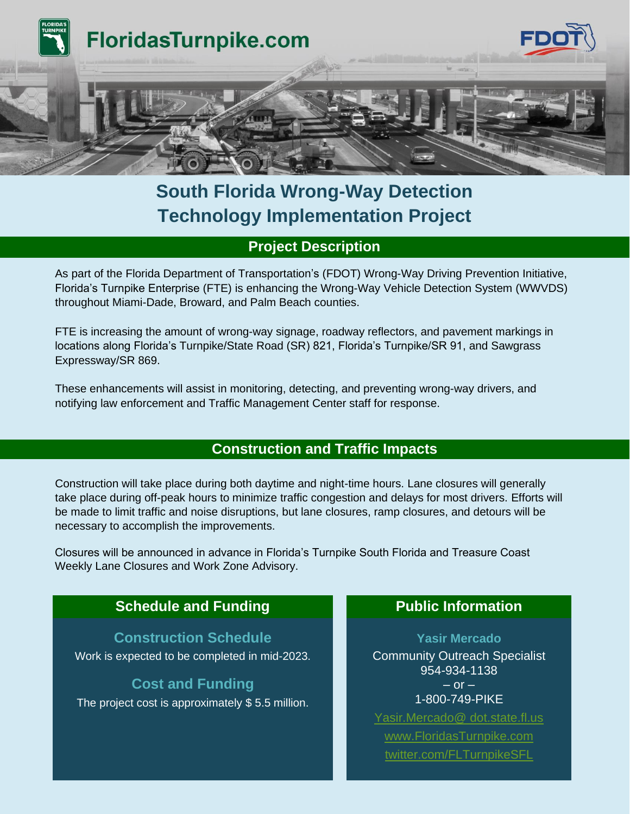

# **South Florida Wrong-Way Detection Technology Implementation Project**

## **Project Description**

As part of the Florida Department of Transportation's (FDOT) Wrong-Way Driving Prevention Initiative, Florida's Turnpike Enterprise (FTE) is enhancing the Wrong-Way Vehicle Detection System (WWVDS) throughout Miami-Dade, Broward, and Palm Beach counties.

FTE is increasing the amount of wrong-way signage, roadway reflectors, and pavement markings in locations along Florida's Turnpike/State Road (SR) 821, Florida's Turnpike/SR 91, and Sawgrass Expressway/SR 869.

These enhancements will assist in monitoring, detecting, and preventing wrong-way drivers, and notifying law enforcement and Traffic Management Center staff for response.

## **Construction and Traffic Impacts**

Construction will take place during both daytime and night-time hours. Lane closures will generally take place during off-peak hours to minimize traffic congestion and delays for most drivers. Efforts will be made to limit traffic and noise disruptions, but lane closures, ramp closures, and detours will be necessary to accomplish the improvements.

Closures will be announced in advance in Florida's Turnpike South Florida and Treasure Coast Weekly Lane Closures and Work Zone Advisory.

# **Schedule and Funding <b>Public Public Information**

#### **Construction Schedule**

Work is expected to be completed in mid-2023.

#### **Cost and Funding**

The project cost is approximately \$ 5.5 million.

**Yasir Mercado** Community Outreach Specialist 954-934-1138  $-$  or  $-$ 1-800-749-PIKE [Yasir.Mercado@ dot.state.fl.us](file:///C:/Users/kn854ym/Desktop/FTE%20Construction%20Templates/Yasir.Mercado@%20dot.state.fl.us) [www.FloridasTurnpike.com](http://www.floridasturnpike.com/) [twitter.com/FLTurnpikeSFL](file:///C:/Users/kn854ym/Desktop/FTE%20Construction%20Templates/twitter.com/FLTurnpikeSFL)